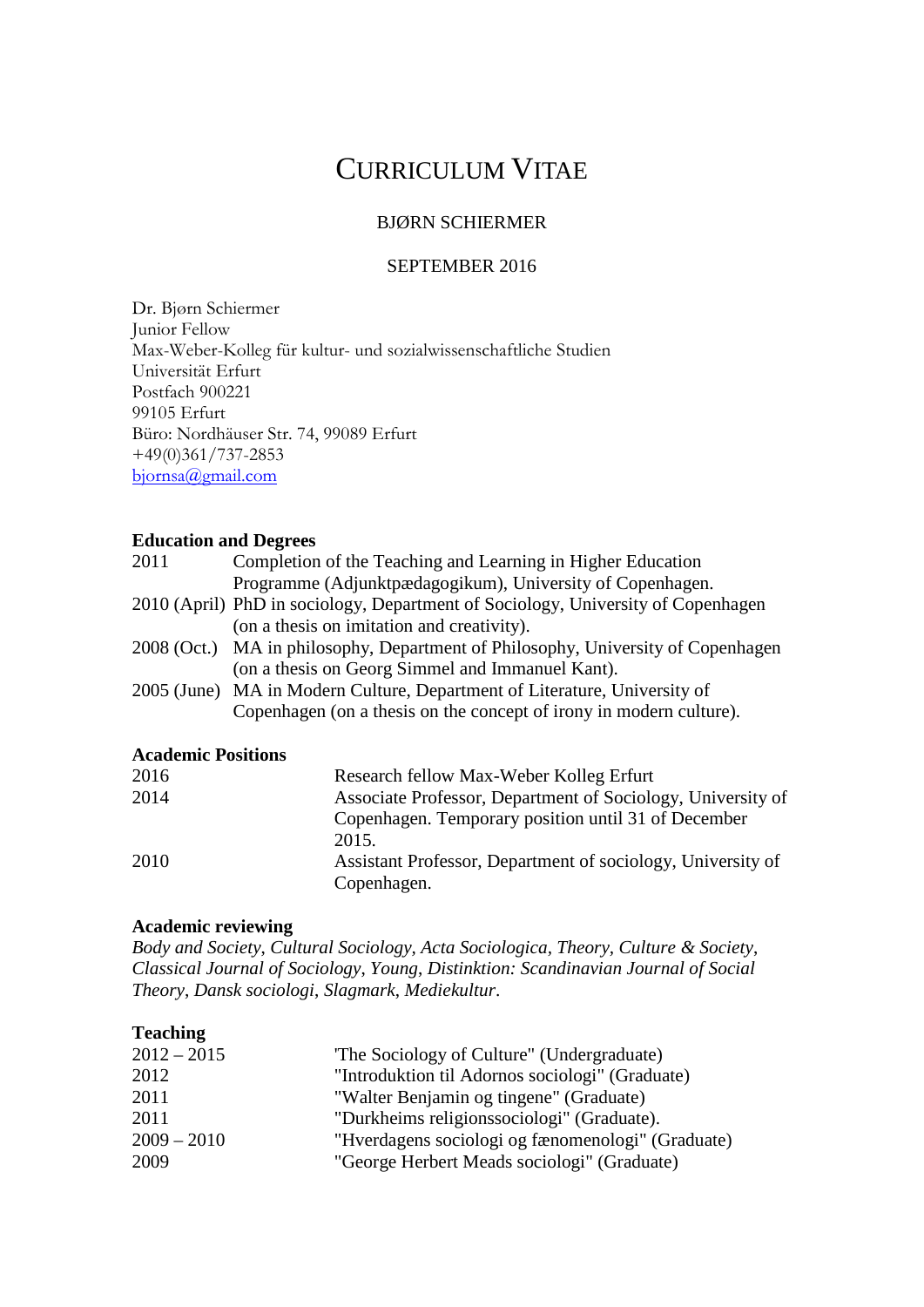# CURRICULUM VITAE

# BJØRN SCHIERMER

#### SEPTEMBER 2016

Dr. Bjørn Schiermer Junior Fellow Max-Weber-Kolleg für kultur- und sozialwissenschaftliche Studien Universität Erfurt Postfach 900221 99105 Erfurt Büro: Nordhäuser Str. 74, 99089 Erfurt +49(0)361/737-2853 [bjornsa@gmail.com](mailto:bjornsa@gmail.com)

#### **Education and Degrees**

| 2011                      | Completion of the Teaching and Learning in Higher Education                      |
|---------------------------|----------------------------------------------------------------------------------|
|                           | Programme (Adjunktpædagogikum), University of Copenhagen.                        |
|                           | 2010 (April) PhD in sociology, Department of Sociology, University of Copenhagen |
|                           | (on a thesis on imitation and creativity).                                       |
|                           | 2008 (Oct.) MA in philosophy, Department of Philosophy, University of Copenhagen |
|                           | (on a thesis on Georg Simmel and Immanuel Kant).                                 |
|                           | 2005 (June) MA in Modern Culture, Department of Literature, University of        |
|                           | Copenhagen (on a thesis on the concept of irony in modern culture).              |
| <b>Academic Positions</b> |                                                                                  |
| 2016                      | Research fellow Max-Weber Kolleg Erfurt                                          |
| 2014                      | Associate Drefessor, Department of Cociology, University of                      |

| 2010 | Research fellow <i>wids</i> - weber Rolleg Effult           |
|------|-------------------------------------------------------------|
| 2014 | Associate Professor, Department of Sociology, University of |
|      | Copenhagen. Temporary position until 31 of December         |
|      | 2015.                                                       |
| 2010 | Assistant Professor, Department of sociology, University of |
|      | Copenhagen.                                                 |

# **Academic reviewing**

*Body and Society*, *Cultural Sociology, Acta Sociologica, Theory, Culture & Society*, *Classical Journal of Sociology*, *Young*, *Distinktion: Scandinavian Journal of Social Theory*, *Dansk sociologi*, *Slagmark*, *Mediekultur*.

### **Teaching**

| $2012 - 2015$ | The Sociology of Culture" (Undergraduate)         |
|---------------|---------------------------------------------------|
| 2012          | "Introduktion til Adornos sociologi" (Graduate)   |
| 2011          | "Walter Benjamin og tingene" (Graduate)           |
| 2011          | "Durkheims religionssociologi" (Graduate).        |
| $2009 - 2010$ | "Hverdagens sociologi og fænomenologi" (Graduate) |
| 2009          | "George Herbert Meads sociologi" (Graduate)       |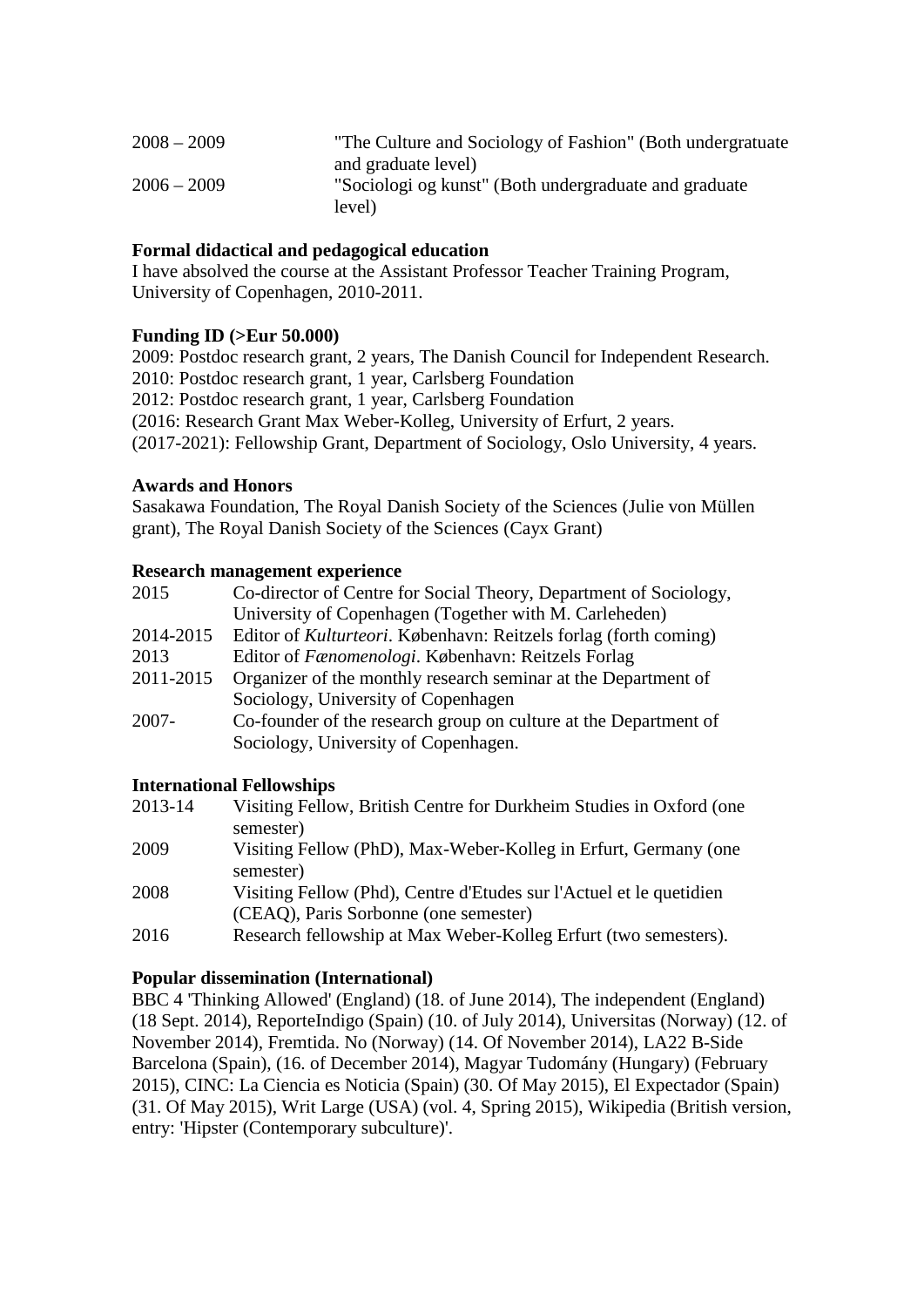| $2008 - 2009$ | "The Culture and Sociology of Fashion" (Both undergratuate) |
|---------------|-------------------------------------------------------------|
|               | and graduate level)                                         |
| $2006 - 2009$ | "Sociologi og kunst" (Both undergraduate and graduate       |
|               | level)                                                      |

# **Formal didactical and pedagogical education**

I have absolved the course at the Assistant Professor Teacher Training Program, University of Copenhagen, 2010-2011.

### **Funding ID (>Eur 50.000)**

2009: Postdoc research grant, 2 years, The Danish Council for Independent Research. 2010: Postdoc research grant, 1 year, Carlsberg Foundation 2012: Postdoc research grant, 1 year, Carlsberg Foundation (2016: Research Grant Max Weber-Kolleg, University of Erfurt, 2 years. (2017-2021): Fellowship Grant, Department of Sociology, Oslo University, 4 years.

### **Awards and Honors**

Sasakawa Foundation, The Royal Danish Society of the Sciences (Julie von Müllen grant), The Royal Danish Society of the Sciences (Cayx Grant)

#### **Research management experience**

| 2015      | Co-director of Centre for Social Theory, Department of Sociology, |
|-----------|-------------------------------------------------------------------|
|           | University of Copenhagen (Together with M. Carleheden)            |
| 2014-2015 | Editor of Kulturteori. København: Reitzels forlag (forth coming)  |
| 2013      | Editor of <i>Fænomenologi</i> . København: Reitzels Forlag        |
| 2011-2015 | Organizer of the monthly research seminar at the Department of    |
|           | Sociology, University of Copenhagen                               |
| $2007 -$  | Co-founder of the research group on culture at the Department of  |
|           | Sociology, University of Copenhagen.                              |

#### **International Fellowships**

| 2013-14 | Visiting Fellow, British Centre for Durkheim Studies in Oxford (one |
|---------|---------------------------------------------------------------------|
|         | semester)                                                           |
| 2009    | Visiting Fellow (PhD), Max-Weber-Kolleg in Erfurt, Germany (one     |
|         | semester)                                                           |
| 2008    | Visiting Fellow (Phd), Centre d'Etudes sur l'Actuel et le quetidien |
|         | (CEAQ), Paris Sorbonne (one semester)                               |
| 2016    | Research fellowship at Max Weber-Kolleg Erfurt (two semesters).     |
|         |                                                                     |

# **Popular dissemination (International)**

BBC 4 'Thinking Allowed' (England) (18. of June 2014), The independent (England) (18 Sept. 2014), ReporteIndigo (Spain) (10. of July 2014), Universitas (Norway) (12. of November 2014), Fremtida. No (Norway) (14. Of November 2014), LA22 B-Side Barcelona (Spain), (16. of December 2014), Magyar Tudomány (Hungary) (February 2015), CINC: La Ciencia es Noticia (Spain) (30. Of May 2015), El Expectador (Spain) (31. Of May 2015), Writ Large (USA) (vol. 4, Spring 2015), Wikipedia (British version, entry: 'Hipster (Contemporary subculture)'.